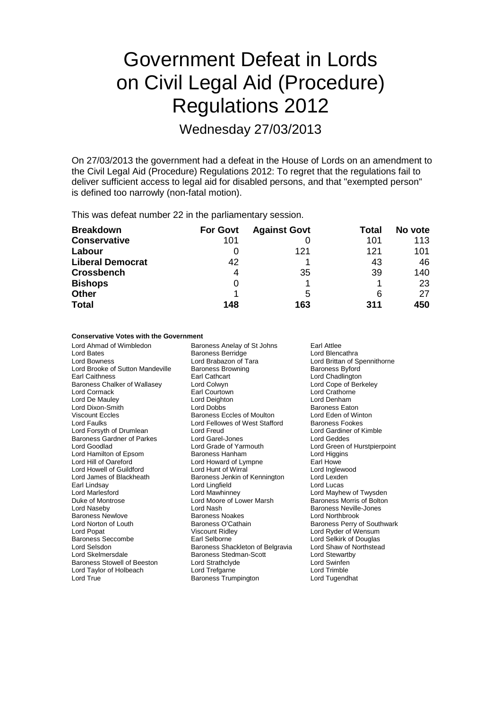# Government Defeat in Lords on Civil Legal Aid (Procedure) Regulations 2012

Wednesday 27/03/2013

On 27/03/2013 the government had a defeat in the House of Lords on an amendment to the Civil Legal Aid (Procedure) Regulations 2012: To regret that the regulations fail to deliver sufficient access to legal aid for disabled persons, and that "exempted person" is defined too narrowly (non-fatal motion).

This was defeat number 22 in the parliamentary session.

| <b>Breakdown</b>        | <b>For Govt</b> | <b>Against Govt</b> | Total | No vote |
|-------------------------|-----------------|---------------------|-------|---------|
| <b>Conservative</b>     | 101             |                     | 101   | 113     |
| Labour                  | O               | 121                 | 121   | 101     |
| <b>Liberal Democrat</b> | 42              |                     | 43    | 46      |
| <b>Crossbench</b>       | 4               | 35                  | 39    | 140     |
| <b>Bishops</b>          | 0               |                     |       | 23      |
| <b>Other</b>            |                 | 5                   | 6     | 27      |
| <b>Total</b>            | 148             | 163                 | 311   | 450     |

### **Conservative Votes with the Government**

Lord Bates **Baroness Berridge**<br>
Lord Bowness<br>
Lord Brabazon of Tara Lord Brooke of Sutton Mandeville Baroness Bro<br>Earl Caithness Browning Baroness Brown Lord De Mauley **Lord Deighton Lord Deighton Lord Deighton Lord Deighton Lord Deighton Lord Delphame** Lord Forsyth of Drumlean Earl Lindsay **Carl Lingfield**<br>
Lord Marlesford **Carl Lord Mawhinnev** Duke of Montrose Lord Moore of Lower Marsh<br>
Lord Naseby Lord Nash Baroness Newlove Baroness Noakes<br>
Lord Norton of Louth Baroness O'Cathain

Lord Ahmad of Wimbledon Baroness Anelay of St Johns Earl Attlee Lord Brabazon of Tara **Lord Brittan of Spennithorne**<br>
Baroness Browning **Communist Brand** Baroness Byford Baroness Chalker of Wallasey Lord Colwyn Colour Lord Cope of Berkeley<br>
Lord Cormack Courtown Earl Courtown Lord Crathorne Earl Courtown **Lord Crathorne**<br>
Lord Deighton **Lord Crathorne**<br>
Lord Denham Lord Dixon-Smith Lord Dobbs Baroness Eaton Viscount Eccles Baroness Eccles of Moulton Lord Eden of Winton Lord Fellowes of West Stafford Baroness Fookes<br>
Lord Freud Baroness Fookes Baroness Gardner of Parkes Lord Garel-Jones Lord Gord Geddes<br>
Lord Goodlad Lord Grade of Yarmouth Lord Green o Lord Grade of Yarmouth Lord Green of Hurstpierpoint<br>
Baroness Hanham Lord Higgins Lord Hamilton of Epsom Baroness Hanham Lord Higgins Lord Higgin<br>
Baroness Hanham Lord Howard of Lympne Earl Howe Lord Howard of Lympne<br>
Lord Hunt of Wirral **Earl Howard Lord Inglewood** Lord Howell of Guildford Lord Hunt of Wirral Lord Inglewood Lord James of Blackheath Baroness Jenkin of Kennington Lord Lexden<br>Earl Lindsay Lord Lucas Lord Lingfield Lord Marlesford Lord Mawhinney Lord Mayhew of Twysden Lord Nash **Baroness Neville-Jones**<br>
Baroness Noakes<br>
Lord Northbrook Lord Norton of Louth **Baroness O'Cathain** Baroness Perry of Southwark<br>
Lord Popat **Baroness Perry of Southwark**<br>
Lord Ryder of Wensum Lord Popat **Communist Communist Communist Communist Communist Communist Communist Communist Communist Communist Communist Communist Communist Communist Communist Communist Communist Communist Communist Communist Communist** Baroness Seccombe Earl Selborne<br>
Lord Selkirk of Douglas<br>
Lord Selsdon<br>
Lord Shaw of Northstead<br>
Lord Shaw of Northstead Baroness Shackleton of Belgravia Lord Skelmersdale Baroness Stedman-Scott Lord Stewartby Baroness Stowell of Beeston Lord Strathclyde Cord Cord Swinfen<br>
Lord Taylor of Holbeach Lord Trefgarne Cord Cord Trimble Lord Taylor of Holbeach Lord Trefgarne Lord Trimble Lord True **Baroness Trumpington** 

Lord Chadlington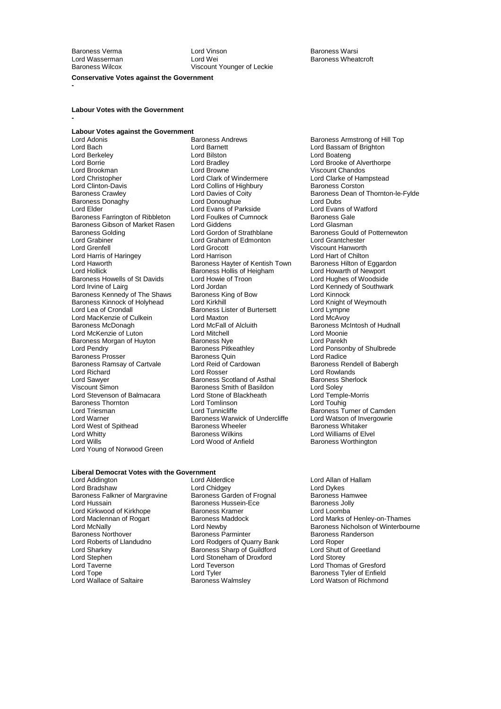**-**

**-**

Baroness Verma Lord Vinson Baroness Warsi Lord Wasserman Lord Wei Communication Baroness Wheatcroft<br>
Baroness Wilcox Clicos Communication Communication Clicking Communication Clicking Baroness Wheatcroft Viscount Younger of Leckie

**Conservative Votes against the Government**

#### **Labour Votes with the Government**

## **Labour Votes against the Government**

Lord Bach **Lord Barnett** Lord Barnett Lord Bassam of Brighton<br>
Lord Barkeley **Lord Barnett** Lord Boaten Lord Boateng Lord Berkeley **Lord Bilston** Lord Boateng Lord Boateng Lord Boateng Lord Boateng Lord Brooke c<br>
Lord Borrie **Lord Brack** Lord Brackley Lord Borrie Lord Bradley Lord Brooke of Alverthorpe Lord Brookman Lord Browne Viscount Chandos Lord Christopher **Lord Clark of Windermere** Lord Clarke of Hampster Clark of Windermere Lord Clarke of Hampstead<br>
Lord Clarke of Hampstead Lord Collins of Highbury **Carly Colling Containers** Corston Lord Clinton-Davis<br>
Baroness Crawley 
Baroness Crawley

Lord Davies of Coity Baroness Donaghy **Lord Donoughue**<br>
Lord Exans of Parkside **Lord Exans of Dubs**<br>
Lord Elder **Lord Exans of Parkside** Lord Evans of Watford Baroness Farrington of Ribbleton Lord Foulkes of Cumnock Baroness Gale<br>Baroness Gibson of Market Rasen Lord Giddens Lord Guasman Baroness Gibson of Market Rasen Lord Giddens<br>
Baroness Golding 
Lord Gordon of Strathblane Baroness Golding **Lord Gordon of Strathblane** Baroness Gould of Potternewton<br>Lord Grahiner **Baroness Lord Grahines** Lord Graham of Edmonton **Baroness Gould of Potternewton** Lord Grabiner **Lord Graham of Edmonton**<br>
Lord Greenfell<br>
Lord Grocott Lord Harris of Haringey Lord Harrison Cord Harrison Lord Hart of Chilton<br>
Lord Haworth Cord Hart of Eggardon Baroness Hayter of Kentish Town Baroness Hilton of Eggardon Lord Haworth **Baroness Hayter of Kentish Town** Baroness Hilton of Eggardon Baroness Hollis of Heigham Lord Howarth of Newport Baroness Howells of St Davids Lord Howie (Lord Irvine of Lairg Muslem Lord Jordan Baroness Kennedy of The Shaws Baroness King of Bow Lord Kinnock<br>Baroness Kinnock of Holyhead Lord Kirkhill Cord Knight of Weymouth Baroness Kinnock of Holyhead Lord Kirkhill<br>
Lord Lea of Crondall **Lord Knight of Baroness Lister of Burtersett** Lord Lympne Lord MacKenzie of Culkein<br>
Baroness McDonagh Lord McFall of Alcluith Lord McKenzie of Luton Lord Mitchell Lord Moonie Baroness Morgan of Huyton Baroness Nye<br>Lord Pendry Baroness Pitkeathley Baroness Prosser **Baroness Quin**<br>
Baroness Ramsay of Cartvale **Baroness Cardowan**<br>
Baroness Rendell of Babergh Baroness Ramsay of Cartvale Lord Reid of Lord Richard<br>
Lord Richard **Baroness Rendell Card Basser** Lord Sawyer **Baroness Scotland of Asthal** Baroness Soutland of Asthal Baroness Smith of Basildon<br>
Baroness Smith of Basildon Lord Soley Lord Stevenson of Balmacara Lord Stone of Blackheath Lord Temple-<br>
Baroness Thornton Lord Touhig<br>
Lord Touhig **Baroness Thornton Lord Tomlinson Lord Tomlinson**<br>
Lord Triesman Lord Tunnicliffe Lord Triesman **Lord Tunnicliffe** Baroness Turner of Camden<br>
Lord Warner **Cammen Baroness Warwick of Undercliffe** Lord Watson of Invergowrie Lord West of Spithead Baroness Wheeler Baroness Wheeler Baroness Wilkins Lord Whitty **Communist Communist Communist Communist Communist Communist Communist Communist Communist Communist Communist Communist Communist Communist Communist Communist Communist Communist Communist Communist Communist** Lord Young of Norwood Green

Lord Evans of Parkside Lord Evans of V<br>
Lord Foulkes of Cumnock Baroness Gale Lord Grocott **Viscount Hanworth**<br>
Lord Harrison **Lord Hankorth** Exaroness Hollis of Heigham Lord Howarth of Newport<br>
Lord Howie of Troon Lord Hughes of Woodside Lord Jordan **Lord Irvine Communist Cord Kennedy of Southwark**<br>
Baroness King of Bow **Lord Kinnock** Baroness Lister of Burtersett Lord Lympne<br>Lord Maxton Lord McAyov Lord McFall of Alcluith Baroness McIntosh of Hudnall<br>
Lord Mitchell Cord Moonie Baroness Pitkeathley **Lord Ponsonby of Shulbrede**<br> **Baroness Quin**<br>
Lord Radice Baroness Smith of Basildon<br>
Lord Stone of Blackheath
Lord Temple-Morris **Baroness Warwick of Undercliffe** Lord Watson of Invergon<br>Baroness Wheeler Baroness Whitaker

Lord Adonis Baroness Andrews Baroness Armstrong of Hill Top<br>
Lord Barnett Lord Bassam of Brighton Baroness Crawley Lord Davies of Coity Baroness Dean of Thornton-le-Fylde Lord Rowlands<br>Baroness Sherlock Baroness Worthington

## **Liberal Democrat Votes with the Government**

Baroness Falkner of Margravine Baroness Garden of Frognal Baroness Ham<br>Lord Hussain Baroness Hussein-Ece Baroness Jolly Lord Kirkwood of Kirkhope Baroness Kramer<br>
Lord Maclennan of Rogart Baroness Maddock Baroness Northover **Baroness Parminter** Baroness Research Baroness R<br> **Baroness Represent Baroness Research Baroness Research Baroness Represent Baroness Representative Representative** Lord Sharkey Baroness Sharp of Guildford Lord Shutt c<br>
Lord Starkey Baroness Sharp of Guildford Lord Storey<br>
Lord Stephen Lord Storey Lord Stephen Lord Stoneham of Droxford<br>
Lord Taverne Lord Teverson Lord Taverne Lord Teverson Lord Thomas of Gresford Lord Wallace of Saltaire Baroness Walmsley Lord Watson of Richmond

Lord Addington Lord Alderdice Lord Allan of Hallam Lord Chidgey <br>Baroness Garden of Frognal Baroness Hamwee Baroness Hussein-Ece **Baroness Jolly**<br>Baroness Kramer<br>Lord Loomba Lord Rodgers of Quarry Bank Lord Roper<br>
Baroness Sharp of Guildford Lord Shutt of Greetland

Lord Marks of Henley-on-Thames Lord McNally Lord Newby Baroness Nicholson of Winterbourne Baroness Tyler of Enfield